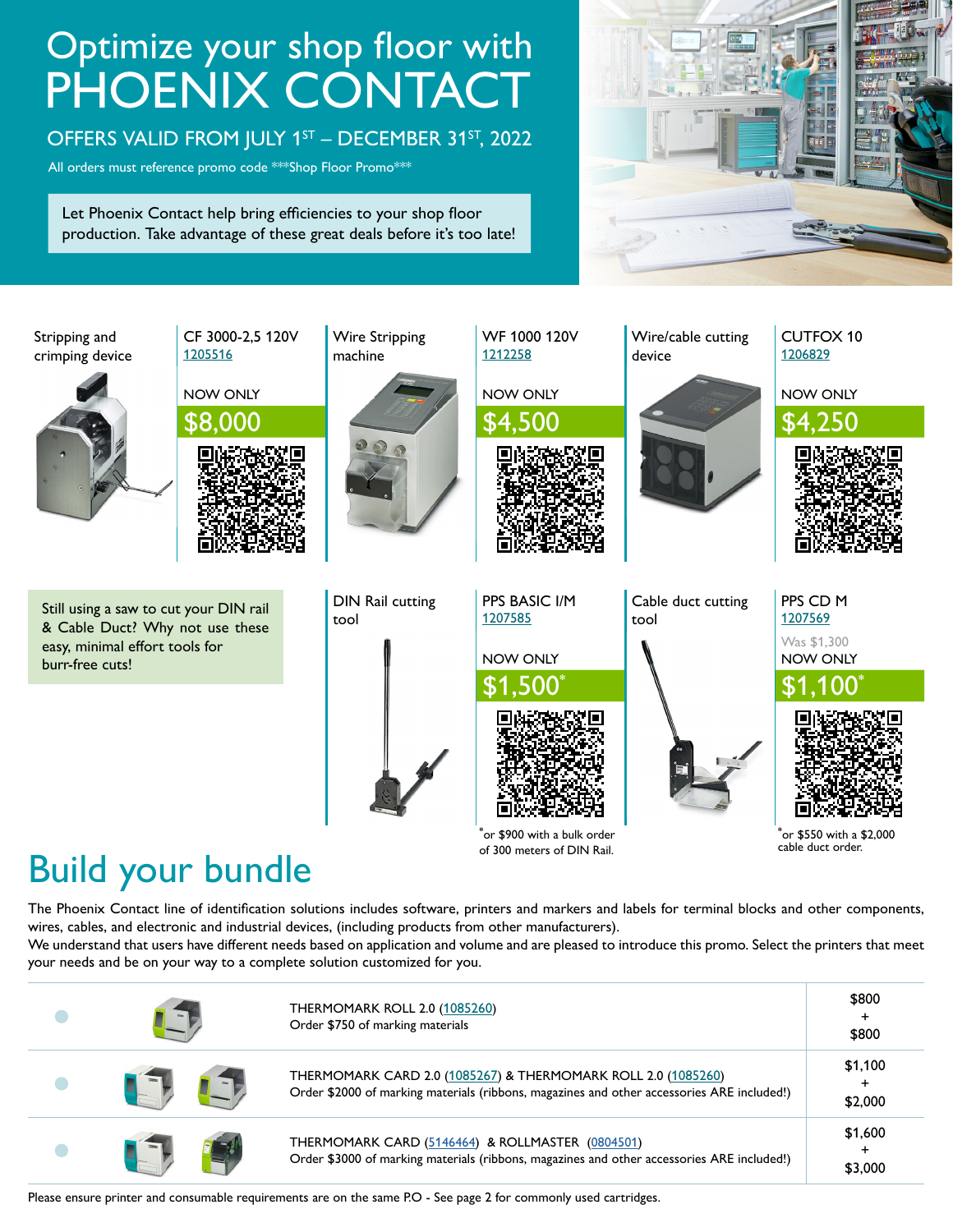# Optimize your shop floor with PHOENIX CONTACT

#### OFFERS VALID FROM JULY 1ST - DECEMBER 31ST, 2022

All orders must reference promo code \*\*\*Shop Floor Promo\*\*\*

Let Phoenix Contact help bring efficiencies to your shop floor production. Take advantage of these great deals before it's too late!





## Build your bundle

The Phoenix Contact line of identification solutions includes software, printers and markers and labels for terminal blocks and other components, wires, cables, and electronic and industrial devices, (including products from other manufacturers).

We understand that users have different needs based on application and volume and are pleased to introduce this promo. Select the printers that meet your needs and be on your way to a complete solution customized for you.

|  | <b>THERMOMARK ROLL 2.0 (1085260)</b><br>Order \$750 of marking materials                                                                                    | \$800<br>\$800          |
|--|-------------------------------------------------------------------------------------------------------------------------------------------------------------|-------------------------|
|  | THERMOMARK CARD 2.0 (1085267) & THERMOMARK ROLL 2.0 (1085260)<br>Order \$2000 of marking materials (ribbons, magazines and other accessories ARE included!) | \$1,100<br>÷<br>\$2,000 |
|  | THERMOMARK CARD (5146464) & ROLLMASTER (0804501)<br>Order \$3000 of marking materials (ribbons, magazines and other accessories ARE included!)              | \$1,600<br>\$3,000      |

Please ensure printer and consumable requirements are on the same P.O - See page 2 for commonly used cartridges.